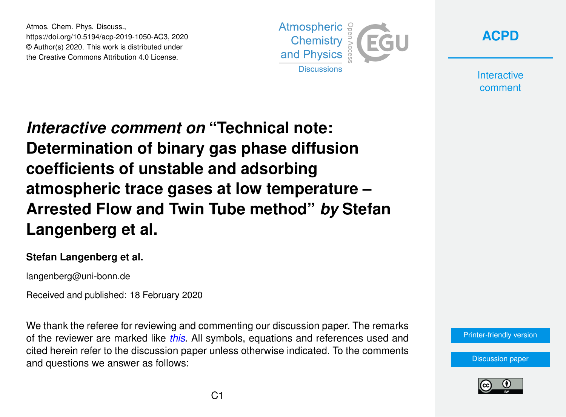Atmos. Chem. Phys. Discuss., https://doi.org/10.5194/acp-2019-1050-AC3, 2020 © Author(s) 2020. This work is distributed under the Creative Commons Attribution 4.0 License.





**Interactive** comment

*Interactive comment on* **"Technical note: Determination of binary gas phase diffusion coefficients of unstable and adsorbing atmospheric trace gases at low temperature – Arrested Flow and Twin Tube method"** *by* **Stefan Langenberg et al.**

## **Stefan Langenberg et al.**

langenberg@uni-bonn.de

Received and published: 18 February 2020

We thank the referee for reviewing and commenting our discussion paper. The remarks of the reviewer are marked like *this*. All symbols, equations and references used and cited herein refer to the discussion paper unless otherwise indicated. To the comments and questions we answer as follows:

[Printer-friendly version](https://www.atmos-chem-phys-discuss.net/acp-2019-1050/acp-2019-1050-AC3-print.pdf)

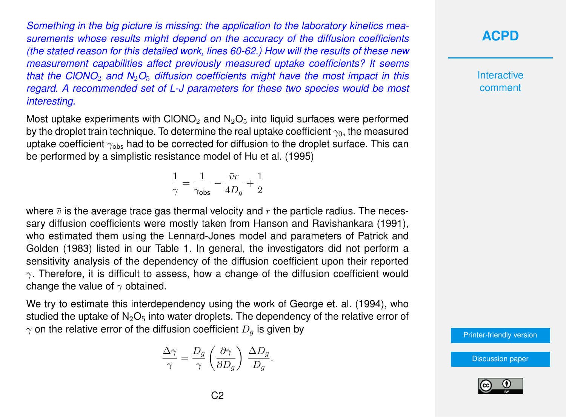*Something in the big picture is missing: the application to the laboratory kinetics measurements whose results might depend on the accuracy of the diffusion coefficients (the stated reason for this detailed work, lines 60-62.) How will the results of these new measurement capabilities affect previously measured uptake coefficients? It seems that the ClONO*<sup>2</sup> *and N*2*O*<sup>5</sup> *diffusion coefficients might have the most impact in this regard. A recommended set of L-J parameters for these two species would be most interesting.*

Most uptake experiments with CIONO<sub>2</sub> and  $N_2O_5$  into liquid surfaces were performed by the droplet train technique. To determine the real uptake coefficient  $\gamma_0$ , the measured uptake coefficient  $\gamma_{\rm obs}$  had to be corrected for diffusion to the droplet surface. This can be performed by a simplistic resistance model of Hu et al. (1995)

> 1  $\frac{1}{\gamma} = \frac{1}{\gamma_{\mathsf{ol}}}$  $\frac{1}{\gamma_{\text{obs}}} - \frac{\bar{v}r}{4D}$  $\frac{\bar{v}r}{4D_g} + \frac{1}{2}$ 2

where  $\bar{v}$  is the average trace gas thermal velocity and r the particle radius. The necessary diffusion coefficients were mostly taken from Hanson and Ravishankara (1991), who estimated them using the Lennard-Jones model and parameters of Patrick and Golden (1983) listed in our Table 1. In general, the investigators did not perform a sensitivity analysis of the dependency of the diffusion coefficient upon their reported  $\gamma$ . Therefore, it is difficult to assess, how a change of the diffusion coefficient would change the value of  $\gamma$  obtained.

We try to estimate this interdependency using the work of George et. al. (1994), who studied the uptake of  $N_2O_5$  into water droplets. The dependency of the relative error of  $\gamma$  on the relative error of the diffusion coefficient  $D_q$  is given by

$$
\frac{\Delta \gamma}{\gamma} = \frac{D_g}{\gamma} \left( \frac{\partial \gamma}{\partial D_g} \right) \frac{\Delta D_g}{D_g}.
$$

**[ACPD](https://www.atmos-chem-phys-discuss.net/)**

**Interactive** comment

[Printer-friendly version](https://www.atmos-chem-phys-discuss.net/acp-2019-1050/acp-2019-1050-AC3-print.pdf)

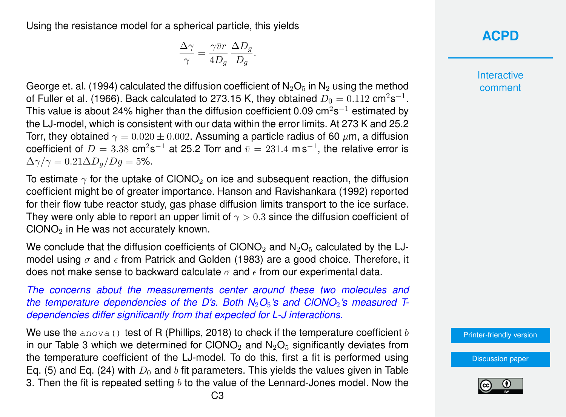Using the resistance model for a spherical particle, this yields

$$
\frac{\Delta \gamma}{\gamma} = \frac{\gamma \bar{v}r}{4D_g} \frac{\Delta D_g}{D_g}.
$$

George et. al. (1994) calculated the diffusion coefficient of  $N_2O_5$  in  $N_2$  using the method of Fuller et al. (1966). Back calculated to 273.15 K, they obtained  $D_0=0.112~\mathsf{cm^2s^{-1}}.$ This value is about 24% higher than the diffusion coefficient 0.09 cm $2$ s $^{-1}$  estimated by the LJ-model, which is consistent with our data within the error limits. At 273 K and 25.2 Torr, they obtained  $\gamma = 0.020 \pm 0.002$ . Assuming a particle radius of 60  $\mu$ m, a diffusion coefficient of  $D=3.38$  cm<sup>2</sup>s<sup>-1</sup> at 25.2 Torr and  $\bar{v}=231.4$  m s<sup>-1</sup>, the relative error is  $\Delta\gamma/\gamma = 0.21 \Delta D_a/Dq = 5\%.$ 

To estimate  $\gamma$  for the uptake of CIONO<sub>2</sub> on ice and subsequent reaction, the diffusion coefficient might be of greater importance. Hanson and Ravishankara (1992) reported for their flow tube reactor study, gas phase diffusion limits transport to the ice surface. They were only able to report an upper limit of  $\gamma > 0.3$  since the diffusion coefficient of  $CIONO<sub>2</sub>$  in He was not accurately known.

We conclude that the diffusion coefficients of CIONO<sub>2</sub> and  $N_2O_5$  calculated by the LJmodel using  $\sigma$  and  $\epsilon$  from Patrick and Golden (1983) are a good choice. Therefore, it does not make sense to backward calculate  $\sigma$  and  $\epsilon$  from our experimental data.

*The concerns about the measurements center around these two molecules and the temperature dependencies of the D's. Both N<sub>2</sub>O<sub>5</sub>'s and ClONO<sub>2</sub>'s measured Tdependencies differ significantly from that expected for L-J interactions.*

We use the anova() test of R (Phillips, 2018) to check if the temperature coefficient b in our Table 3 which we determined for CIONO<sub>2</sub> and  $N_2O_5$  significantly deviates from the temperature coefficient of the LJ-model. To do this, first a fit is performed using Eq. (5) and Eq. (24) with  $D_0$  and b fit parameters. This yields the values given in Table 3. Then the fit is repeated setting  $b$  to the value of the Lennard-Jones model. Now the **Interactive** comment

[Printer-friendly version](https://www.atmos-chem-phys-discuss.net/acp-2019-1050/acp-2019-1050-AC3-print.pdf)

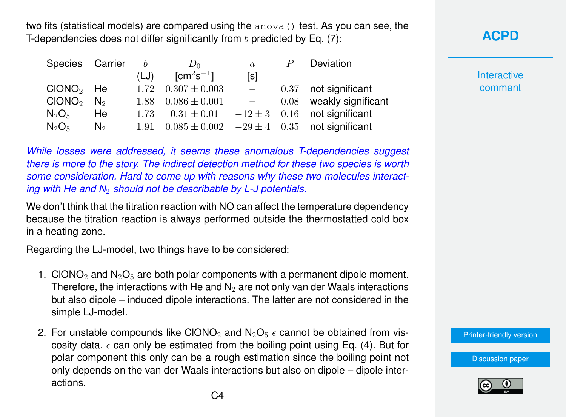two fits (statistical models) are compared using the  $anova()$  test. As you can see, the T-dependencies does not differ significantly from  $b$  predicted by Eq. (7):

| Species Carrier    |                | b    | $D_0$                     | $\boldsymbol{a}$ |      | Deviation                        |
|--------------------|----------------|------|---------------------------|------------------|------|----------------------------------|
|                    |                | (LJ) | $\text{\rm [cm^2s^{-1}]}$ | [s]              |      |                                  |
| $CIONO2$ He        |                | 1.72 | $0.307 \pm 0.003$         | $\sim$           | 0.37 | not significant                  |
| CIONO <sub>2</sub> | N <sub>2</sub> | 1.88 | $0.086 \pm 0.001$         |                  | 0.08 | weakly significant               |
| $N_2O_5$           | He             | 1.73 | $0.31 \pm 0.01$           |                  |      | $-12 \pm 3$ 0.16 not significant |
| $N_2O_5$           | N <sub>2</sub> | 1.91 | $0.085\pm0.002$           | $-29 \pm 4$ 0.35 |      | not significant                  |

*While losses were addressed, it seems these anomalous T-dependencies suggest there is more to the story. The indirect detection method for these two species is worth some consideration. Hard to come up with reasons why these two molecules interacting with He and N*<sup>2</sup> *should not be describable by L-J potentials.*

We don't think that the titration reaction with NO can affect the temperature dependency because the titration reaction is always performed outside the thermostatted cold box in a heating zone.

Regarding the LJ-model, two things have to be considered:

- 1. CIONO<sub>2</sub> and  $N_2O_5$  are both polar components with a permanent dipole moment. Therefore, the interactions with He and  $N_2$  are not only van der Waals interactions but also dipole – induced dipole interactions. The latter are not considered in the simple LJ-model.
- 2. For unstable compounds like CIONO<sub>2</sub> and  $N_2O_5 \epsilon$  cannot be obtained from viscosity data.  $\epsilon$  can only be estimated from the boiling point using Eq. (4). But for polar component this only can be a rough estimation since the boiling point not only depends on the van der Waals interactions but also on dipole – dipole interactions.



**Interactive** comment

[Printer-friendly version](https://www.atmos-chem-phys-discuss.net/acp-2019-1050/acp-2019-1050-AC3-print.pdf)